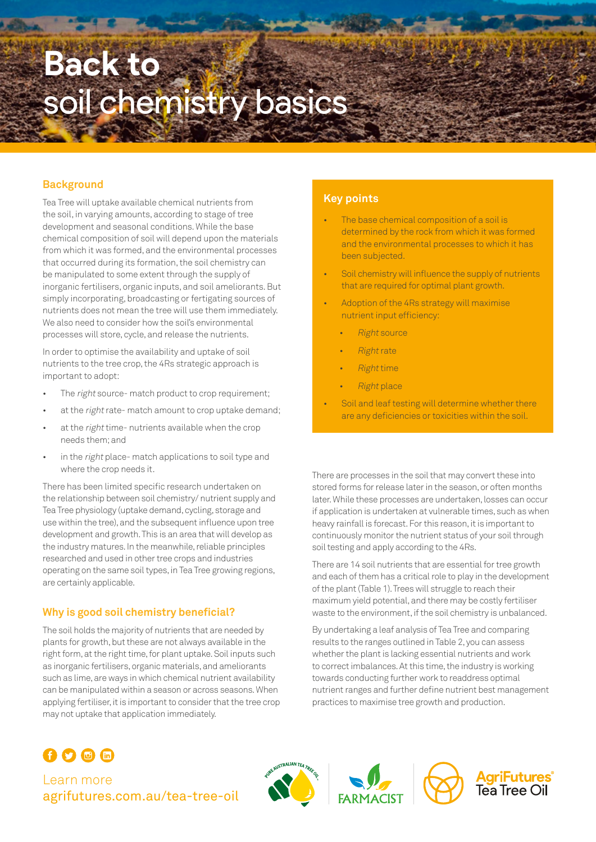# **Back to**  soil chemistry basics

# **Background**

Tea Tree will uptake available chemical nutrients from the soil, in varying amounts, according to stage of tree development and seasonal conditions. While the base chemical composition of soil will depend upon the materials from which it was formed, and the environmental processes that occurred during its formation, the soil chemistry can be manipulated to some extent through the supply of inorganic fertilisers, organic inputs, and soil ameliorants. But simply incorporating, broadcasting or fertigating sources of nutrients does not mean the tree will use them immediately. We also need to consider how the soil's environmental processes will store, cycle, and release the nutrients.

In order to optimise the availability and uptake of soil nutrients to the tree crop, the 4Rs strategic approach is important to adopt:

- The right source- match product to crop requirement;
- at the right rate-match amount to crop uptake demand;
- at the right time- nutrients available when the crop needs them; and
- in the *right* place- match applications to soil type and where the crop needs it.

There has been limited specific research undertaken on the relationship between soil chemistry/ nutrient supply and Tea Tree physiology (uptake demand, cycling, storage and use within the tree), and the subsequent influence upon tree development and growth. This is an area that will develop as the industry matures. In the meanwhile, reliable principles researched and used in other tree crops and industries operating on the same soil types, in Tea Tree growing regions, are certainly applicable.

# **Why is good soil chemistry beneficial?**

The soil holds the majority of nutrients that are needed by plants for growth, but these are not always available in the right form, at the right time, for plant uptake. Soil inputs such as inorganic fertilisers, organic materials, and ameliorants such as lime, are ways in which chemical nutrient availability can be manipulated within a season or across seasons. When applying fertiliser, it is important to consider that the tree crop may not uptake that application immediately.

## **Key points**

- The base chemical composition of a soil is determined by the rock from which it was formed and the environmental processes to which it has been subjected.
- Soil chemistry will influence the supply of nutrients that are required for optimal plant growth.
- Adoption of the 4Rs strategy will maximise nutrient input efficiency:
	- **Right source**
	- **Right rate**
	- Right time
	- Right place
- Soil and leaf testing will determine whether there are any deficiencies or toxicities within the soil.

There are processes in the soil that may convert these into stored forms for release later in the season, or often months later. While these processes are undertaken, losses can occur if application is undertaken at vulnerable times, such as when heavy rainfall is forecast. For this reason, it is important to continuously monitor the nutrient status of your soil through soil testing and apply according to the 4Rs.

There are 14 soil nutrients that are essential for tree growth and each of them has a critical role to play in the development of the plant (Table 1). Trees will struggle to reach their maximum yield potential, and there may be costly fertiliser waste to the environment, if the soil chemistry is unbalanced.

By undertaking a leaf analysis of Tea Tree and comparing results to the ranges outlined in Table 2, you can assess whether the plant is lacking essential nutrients and work to correct imbalances. At this time, the industry is working towards conducting further work to readdress optimal nutrient ranges and further define nutrient best management practices to maximise tree growth and production.

# $\Omega$  $\Omega$   $\oplus$   $\oplus$

Learn more [agrifutures.com.au/](http://agrifutures.com.au/tea-tree-oil)tea-tree-oil





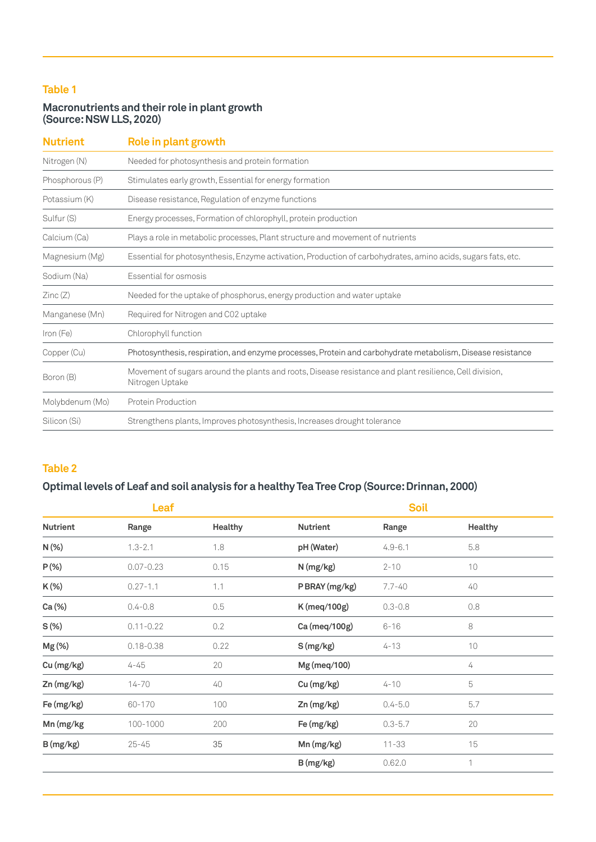# **Table 1**

# **Macronutrients and their role in plant growth (Source: NSW LLS, 2020)**

| <b>Nutrient</b> | Role in plant growth                                                                                                       |  |  |
|-----------------|----------------------------------------------------------------------------------------------------------------------------|--|--|
| Nitrogen (N)    | Needed for photosynthesis and protein formation                                                                            |  |  |
| Phosphorous (P) | Stimulates early growth, Essential for energy formation                                                                    |  |  |
| Potassium (K)   | Disease resistance, Regulation of enzyme functions                                                                         |  |  |
| Sulfur (S)      | Energy processes, Formation of chlorophyll, protein production                                                             |  |  |
| Calcium (Ca)    | Plays a role in metabolic processes, Plant structure and movement of nutrients                                             |  |  |
| Magnesium (Mg)  | Essential for photosynthesis, Enzyme activation, Production of carbohydrates, amino acids, sugars fats, etc.               |  |  |
| Sodium (Na)     | Essential for osmosis                                                                                                      |  |  |
| Zinc(Z)         | Needed for the uptake of phosphorus, energy production and water uptake                                                    |  |  |
| Manganese (Mn)  | Required for Nitrogen and C02 uptake                                                                                       |  |  |
| Iron (Fe)       | Chlorophyll function                                                                                                       |  |  |
| Copper (Cu)     | Photosynthesis, respiration, and enzyme processes, Protein and carbohydrate metabolism, Disease resistance                 |  |  |
| Boron (B)       | Movement of sugars around the plants and roots, Disease resistance and plant resilience, Cell division,<br>Nitrogen Uptake |  |  |
| Molybdenum (Mo) | <b>Protein Production</b>                                                                                                  |  |  |
| Silicon (Si)    | Strengthens plants, Improves photosynthesis, Increases drought tolerance                                                   |  |  |

# **Table 2**

# **Optimal levels of Leaf and soil analysis for a healthy Tea Tree Crop (Source: Drinnan, 2000)**

| Leaf            |               |                |                 | <b>Soil</b> |         |  |
|-----------------|---------------|----------------|-----------------|-------------|---------|--|
| <b>Nutrient</b> | Range         | <b>Healthy</b> | <b>Nutrient</b> | Range       | Healthy |  |
| N(%)            | $1.3 - 2.1$   | 1.8            | pH (Water)      | $4.9 - 6.1$ | 5.8     |  |
| $P(\%)$         | $0.07 - 0.23$ | 0.15           | N (mg/kg)       | $2 - 10$    | 10      |  |
| K(%)            | $0.27 - 1.1$  | 1.1            | P BRAY (mg/kg)  | $7.7 - 40$  | 40      |  |
| Ca (%)          | $0.4 - 0.8$   | 0.5            | K (meq/100g)    | $0.3 - 0.8$ | $0.8\,$ |  |
| $S(\%)$         | $0.11 - 0.22$ | 0.2            | Ca (meq/100g)   | $6 - 16$    | 8       |  |
| Mg(%)           | $0.18 - 0.38$ | 0.22           | S(mg/kg)        | $4 - 13$    | 10      |  |
| Cu (mg/kg)      | 4-45          | 20             | Mg (meq/100)    |             | 4       |  |
| Zn (mg/kg)      | 14-70         | 40             | Cu (mg/kg)      | $4 - 10$    | 5       |  |
| Fe (mg/kg)      | 60-170        | 100            | Zn (mg/kg)      | $0.4 - 5.0$ | 5.7     |  |
| Mn (mg/kg       | 100-1000      | 200            | Fe (mg/kg)      | $0.3 - 5.7$ | 20      |  |
| B(mg/kg)        | $25 - 45$     | 35             | Mn (mg/kg)      | $11 - 33$   | 15      |  |
|                 |               |                | B(mg/kg)        | 0.62.0      | 1       |  |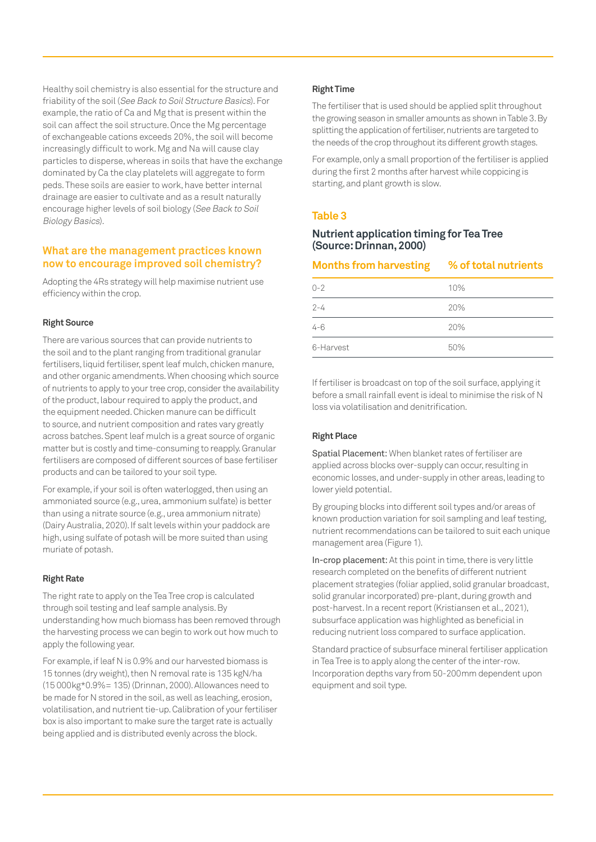Healthy soil chemistry is also essential for the structure and friability of the soil (See Back to Soil Structure Basics). For example, the ratio of Ca and Mg that is present within the soil can affect the soil structure. Once the Mg percentage of exchangeable cations exceeds 20%, the soil will become increasingly difficult to work. Mg and Na will cause clay particles to disperse, whereas in soils that have the exchange dominated by Ca the clay platelets will aggregate to form peds. These soils are easier to work, have better internal drainage are easier to cultivate and as a result naturally encourage higher levels of soil biology (See Back to Soil Biology Basics).

#### **What are the management practices known now to encourage improved soil chemistry?**

Adopting the 4Rs strategy will help maximise nutrient use efficiency within the crop.

#### **Right Source**

There are various sources that can provide nutrients to the soil and to the plant ranging from traditional granular fertilisers, liquid fertiliser, spent leaf mulch, chicken manure, and other organic amendments. When choosing which source of nutrients to apply to your tree crop, consider the availability of the product, labour required to apply the product, and the equipment needed. Chicken manure can be difficult to source, and nutrient composition and rates vary greatly across batches. Spent leaf mulch is a great source of organic matter but is costly and time-consuming to reapply. Granular fertilisers are composed of different sources of base fertiliser products and can be tailored to your soil type.

For example, if your soil is often waterlogged, then using an ammoniated source (e.g., urea, ammonium sulfate) is better than using a nitrate source (e.g., urea ammonium nitrate) (Dairy Australia, 2020). If salt levels within your paddock are high, using sulfate of potash will be more suited than using muriate of potash.

#### **Right Rate**

The right rate to apply on the Tea Tree crop is calculated through soil testing and leaf sample analysis. By understanding how much biomass has been removed through the harvesting process we can begin to work out how much to apply the following year.

For example, if leaf N is 0.9% and our harvested biomass is 15 tonnes (dry weight), then N removal rate is 135 kgN/ha (15 000kg\*0.9%= 135) (Drinnan, 2000). Allowances need to be made for N stored in the soil, as well as leaching, erosion, volatilisation, and nutrient tie-up. Calibration of your fertiliser box is also important to make sure the target rate is actually being applied and is distributed evenly across the block.

#### **Right Time**

The fertiliser that is used should be applied split throughout the growing season in smaller amounts as shown in Table 3. By splitting the application of fertiliser, nutrients are targeted to the needs of the crop throughout its different growth stages.

For example, only a small proportion of the fertiliser is applied during the first 2 months after harvest while coppicing is starting, and plant growth is slow.

#### **Table 3**

#### **Nutrient application timing for Tea Tree (Source: Drinnan, 2000)**

| Months from harvesting % of total nutrients |     |
|---------------------------------------------|-----|
| $O - 2$                                     | 10% |
| $2 - 4$                                     | 20% |
| $4 - 6$                                     | 20% |
| 6-Harvest                                   | 50% |

If fertiliser is broadcast on top of the soil surface, applying it before a small rainfall event is ideal to minimise the risk of N loss via volatilisation and denitrification.

#### **Right Place**

Spatial Placement: When blanket rates of fertiliser are applied across blocks over-supply can occur, resulting in economic losses, and under-supply in other areas, leading to lower yield potential.

By grouping blocks into different soil types and/or areas of known production variation for soil sampling and leaf testing, nutrient recommendations can be tailored to suit each unique management area (Figure 1).

In-crop placement: At this point in time, there is very little research completed on the benefits of different nutrient placement strategies (foliar applied, solid granular broadcast, solid granular incorporated) pre-plant, during growth and post-harvest. In a recent report (Kristiansen et al., 2021), subsurface application was highlighted as beneficial in reducing nutrient loss compared to surface application.

Standard practice of subsurface mineral fertiliser application in Tea Tree is to apply along the center of the inter-row. Incorporation depths vary from 50-200mm dependent upon equipment and soil type.